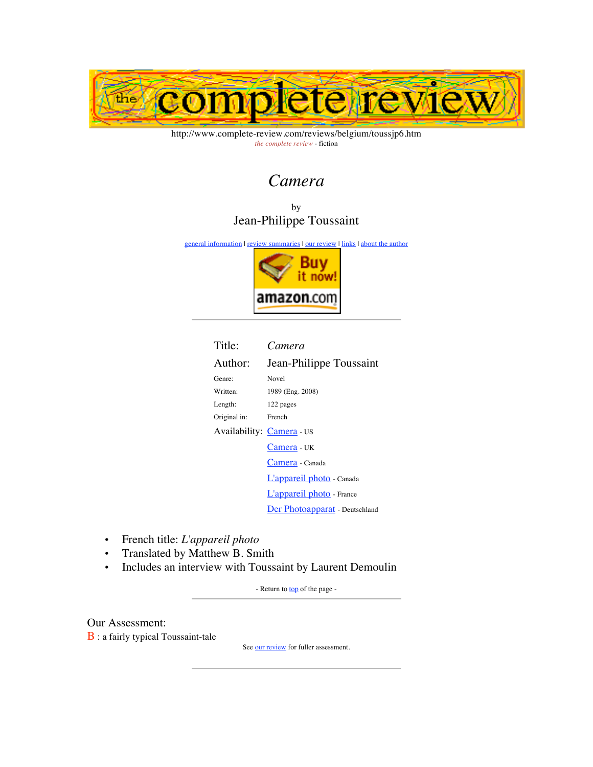

http://www.complete-review.com/reviews/belgium/toussjp6.htm *the complete review* - fiction

# *Camera*

by Jean-Philippe Toussaint

general information | review summaries | our review | links | about the author



| Title:                    | Camera                         |  |  |
|---------------------------|--------------------------------|--|--|
| Author:                   | Jean-Philippe Toussaint        |  |  |
| Genre:                    | Novel                          |  |  |
| Written:                  | 1989 (Eng. 2008)               |  |  |
| Length:                   | 122 pages                      |  |  |
| Original in:              | French                         |  |  |
| Availability: Camera - US |                                |  |  |
|                           | Camera - UK                    |  |  |
|                           | Camera - Canada                |  |  |
|                           | L'appareil photo - Canada      |  |  |
|                           | L'appareil photo - France      |  |  |
|                           | Der Photoapparat - Deutschland |  |  |

- French title: *L'appareil photo*
- Translated by Matthew B. Smith
- Includes an interview with Toussaint by Laurent Demoulin

- Return to **top** of the page -

Our Assessment:

B : a fairly typical Toussaint-tale

See our review for fuller assessment.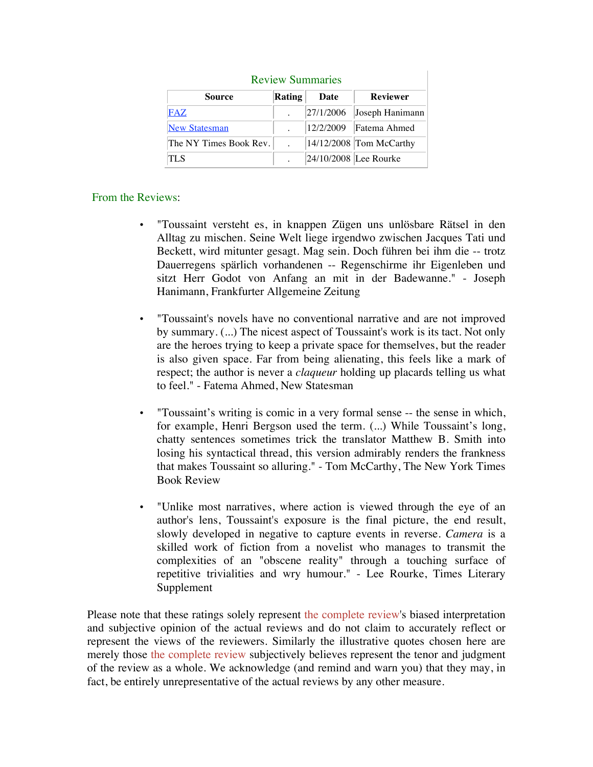| <b>Review Summaries</b> |               |           |                         |  |
|-------------------------|---------------|-----------|-------------------------|--|
| Source                  | <b>Rating</b> | Date      | <b>Reviewer</b>         |  |
| FAZ                     |               | 27/1/2006 | Joseph Hanimann         |  |
| <b>New Statesman</b>    |               | 12/2/2009 | Fatema Ahmed            |  |
| The NY Times Book Rev.  |               |           | 14/12/2008 Tom McCarthy |  |
| TL S                    |               |           | 24/10/2008 Lee Rourke   |  |

## From the Reviews:

- "Toussaint versteht es, in knappen Zügen uns unlösbare Rätsel in den Alltag zu mischen. Seine Welt liege irgendwo zwischen Jacques Tati und Beckett, wird mitunter gesagt. Mag sein. Doch führen bei ihm die -- trotz Dauerregens spärlich vorhandenen -- Regenschirme ihr Eigenleben und sitzt Herr Godot von Anfang an mit in der Badewanne." - Joseph Hanimann, Frankfurter Allgemeine Zeitung
- "Toussaint's novels have no conventional narrative and are not improved by summary. (...) The nicest aspect of Toussaint's work is its tact. Not only are the heroes trying to keep a private space for themselves, but the reader is also given space. Far from being alienating, this feels like a mark of respect; the author is never a *claqueur* holding up placards telling us what to feel." - Fatema Ahmed, New Statesman
- "Toussaint's writing is comic in a very formal sense -- the sense in which, for example, Henri Bergson used the term. (...) While Toussaint's long, chatty sentences sometimes trick the translator Matthew B. Smith into losing his syntactical thread, this version admirably renders the frankness that makes Toussaint so alluring." - Tom McCarthy, The New York Times Book Review
- "Unlike most narratives, where action is viewed through the eye of an author's lens, Toussaint's exposure is the final picture, the end result, slowly developed in negative to capture events in reverse. *Camera* is a skilled work of fiction from a novelist who manages to transmit the complexities of an "obscene reality" through a touching surface of repetitive trivialities and wry humour." - Lee Rourke, Times Literary Supplement

Please note that these ratings solely represent the complete review's biased interpretation and subjective opinion of the actual reviews and do not claim to accurately reflect or represent the views of the reviewers. Similarly the illustrative quotes chosen here are merely those the complete review subjectively believes represent the tenor and judgment of the review as a whole. We acknowledge (and remind and warn you) that they may, in fact, be entirely unrepresentative of the actual reviews by any other measure.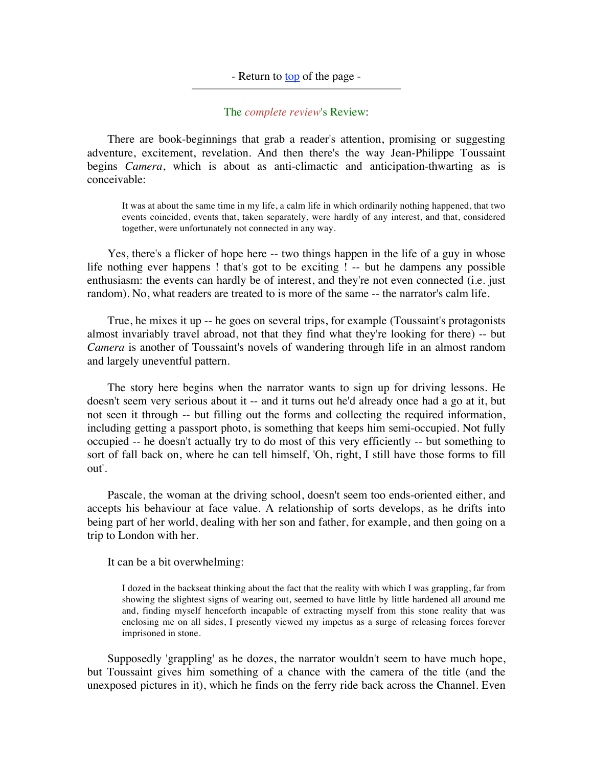## - Return to <u>top</u> of the page -

## The *complete review*'s Review:

 There are book-beginnings that grab a reader's attention, promising or suggesting adventure, excitement, revelation. And then there's the way Jean-Philippe Toussaint begins *Camera*, which is about as anti-climactic and anticipation-thwarting as is conceivable:

It was at about the same time in my life, a calm life in which ordinarily nothing happened, that two events coincided, events that, taken separately, were hardly of any interest, and that, considered together, were unfortunately not connected in any way.

 Yes, there's a flicker of hope here -- two things happen in the life of a guy in whose life nothing ever happens ! that's got to be exciting ! -- but he dampens any possible enthusiasm: the events can hardly be of interest, and they're not even connected (i.e. just random). No, what readers are treated to is more of the same -- the narrator's calm life.

 True, he mixes it up -- he goes on several trips, for example (Toussaint's protagonists almost invariably travel abroad, not that they find what they're looking for there) -- but *Camera* is another of Toussaint's novels of wandering through life in an almost random and largely uneventful pattern.

 The story here begins when the narrator wants to sign up for driving lessons. He doesn't seem very serious about it -- and it turns out he'd already once had a go at it, but not seen it through -- but filling out the forms and collecting the required information, including getting a passport photo, is something that keeps him semi-occupied. Not fully occupied -- he doesn't actually try to do most of this very efficiently -- but something to sort of fall back on, where he can tell himself, 'Oh, right, I still have those forms to fill out'.

 Pascale, the woman at the driving school, doesn't seem too ends-oriented either, and accepts his behaviour at face value. A relationship of sorts develops, as he drifts into being part of her world, dealing with her son and father, for example, and then going on a trip to London with her.

It can be a bit overwhelming:

I dozed in the backseat thinking about the fact that the reality with which I was grappling, far from showing the slightest signs of wearing out, seemed to have little by little hardened all around me and, finding myself henceforth incapable of extracting myself from this stone reality that was enclosing me on all sides, I presently viewed my impetus as a surge of releasing forces forever imprisoned in stone.

 Supposedly 'grappling' as he dozes, the narrator wouldn't seem to have much hope, but Toussaint gives him something of a chance with the camera of the title (and the unexposed pictures in it), which he finds on the ferry ride back across the Channel. Even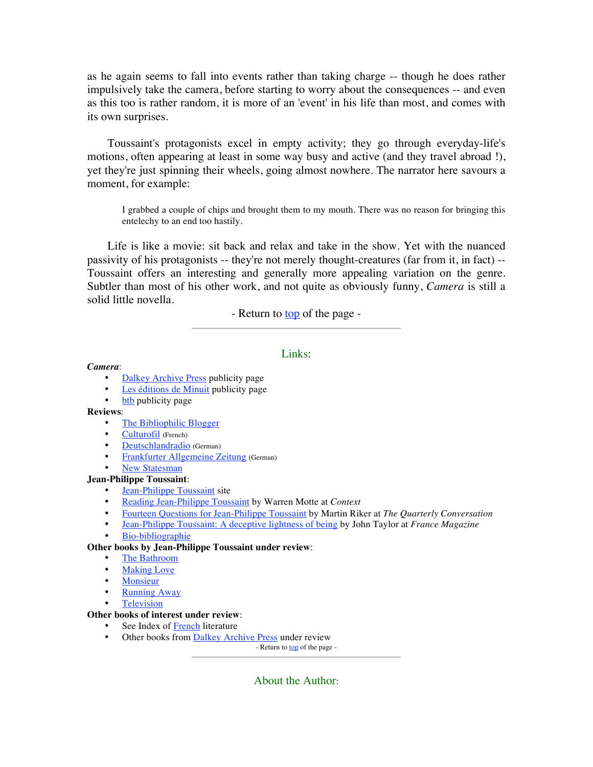as he again seems to fall into events rather than taking charge -- though he does rather impulsively take the camera, before starting to worry about the consequences -- and even as this too is rather random, it is more of an 'event' in his life than most, and comes with its own surprises.

 Toussaint's protagonists excel in empty activity; they go through everyday-life's motions, often appearing at least in some way busy and active (and they travel abroad !), yet they're just spinning their wheels, going almost nowhere. The narrator here savours a moment, for example:

I grabbed a couple of chips and brought them to my mouth. There was no reason for bringing this entelechy to an end too hastily.

 Life is like a movie: sit back and relax and take in the show. Yet with the nuanced passivity of his protagonists -- they're not merely thought-creatures (far from it, in fact) -- Toussaint offers an interesting and generally more appealing variation on the genre. Subtler than most of his other work, and not quite as obviously funny, *Camera* is still a solid little novella.

- Return to **top** of the page -

## Links:

#### *Camera*:

- Dalkey Archive Press publicity page
- Les éditions de Minuit publicity page
- btb publicity page

#### **Reviews**:

- The Bibliophilic Blogger
- Culturofil (French)
- Deutschlandradio (German)
- Frankfurter Allgemeine Zeitung (German)
- New Statesman

#### **Jean-Philippe Toussaint**:

- Jean-Philippe Toussaint site
- Reading Jean-Philippe Toussaint by Warren Motte at *Context*
- Fourteen Questions for Jean-Philippe Toussaint by Martin Riker at *The Quarterly Conversation*
- Jean-Philippe Toussaint: A deceptive lightness of being by John Taylor at *France Magazine*
- Bio-bibliographie

#### **Other books by Jean-Philippe Toussaint under review**:

- The Bathroom
- **Making Love**
- Monsieur
- **Running Away**
- **Television**

## **Other books of interest under review**:

- See Index of French literature
- Other books from  $\frac{\text{Dalkey Archive Press}}{\text{Return to top of the page}}$

About the Author: